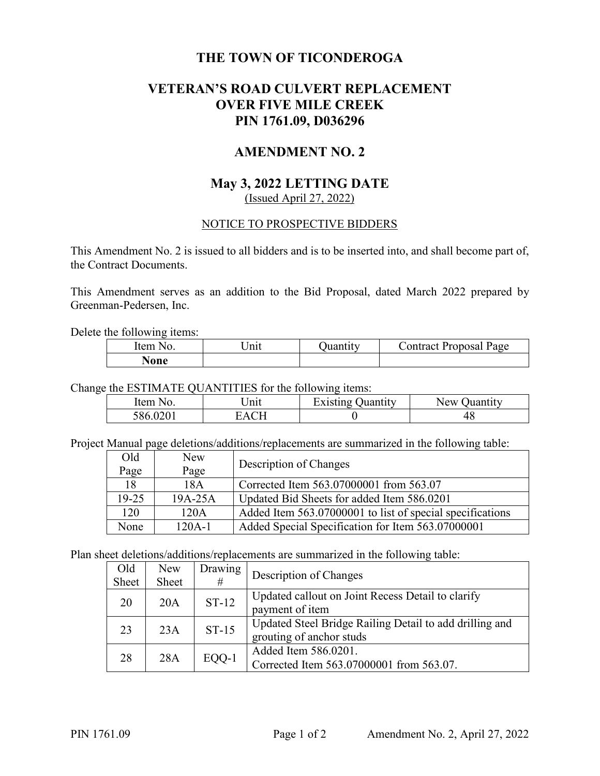### **THE TOWN OF TICONDEROGA**

### **VETERAN'S ROAD CULVERT REPLACEMENT OVER FIVE MILE CREEK PIN 1761.09, D036296**

### **AMENDMENT NO. 2**

### **May 3, 2022 LETTING DATE**  (Issued April 27, 2022)

### NOTICE TO PROSPECTIVE BIDDERS

This Amendment No. 2 is issued to all bidders and is to be inserted into, and shall become part of, the Contract Documents.

This Amendment serves as an addition to the Bid Proposal, dated March 2022 prepared by Greenman-Pedersen, Inc.

Delete the following items:

| Item<br>Nc | ∣nit | Juantity | :ontract Proposal<br>Page |
|------------|------|----------|---------------------------|
| None       |      |          |                           |

Change the ESTIMATE QUANTITIES for the following items:

| Item     | nit | Existing $\sqrt{ }$ | New      |
|----------|-----|---------------------|----------|
| NΩ       |     | Juantıtv            | Juantıtv |
| 586.0201 |     |                     | 4c       |

Project Manual page deletions/additions/replacements are summarized in the following table:

| Old     | New       | Description of Changes                                    |
|---------|-----------|-----------------------------------------------------------|
| Page    | Page      |                                                           |
| 18      | 18A       | Corrected Item 563.07000001 from 563.07                   |
| $19-25$ | $19A-25A$ | Updated Bid Sheets for added Item 586.0201                |
| 120     | 120A      | Added Item 563.07000001 to list of special specifications |
| None    | 120A-1    | Added Special Specification for Item 563.07000001         |

Plan sheet deletions/additions/replacements are summarized in the following table:

| Old<br>Sheet | <b>New</b><br>Sheet | Drawing<br># | Description of Changes                                                              |
|--------------|---------------------|--------------|-------------------------------------------------------------------------------------|
| 20           | 20A                 | $ST-12$      | Updated callout on Joint Recess Detail to clarify<br>payment of item                |
| 23           | 23A                 | $ST-15$      | Updated Steel Bridge Railing Detail to add drilling and<br>grouting of anchor studs |
| 28           | 28A                 | EQQ-1        | Added Item 586.0201.<br>Corrected Item 563.07000001 from 563.07.                    |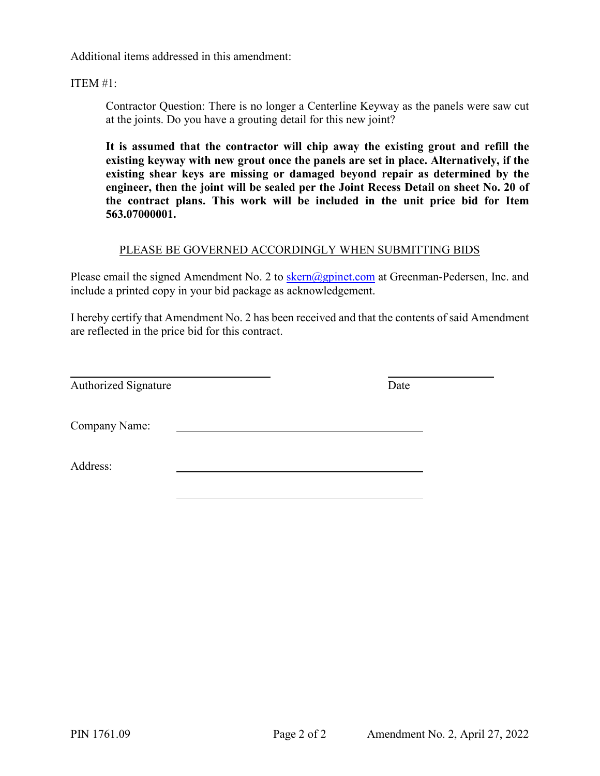Additional items addressed in this amendment:

ITEM #1:

Contractor Question: There is no longer a Centerline Keyway as the panels were saw cut at the joints. Do you have a grouting detail for this new joint?

**It is assumed that the contractor will chip away the existing grout and refill the existing keyway with new grout once the panels are set in place. Alternatively, if the existing shear keys are missing or damaged beyond repair as determined by the engineer, then the joint will be sealed per the Joint Recess Detail on sheet No. 20 of the contract plans. This work will be included in the unit price bid for Item 563.07000001.** 

### PLEASE BE GOVERNED ACCORDINGLY WHEN SUBMITTING BIDS

Please email the signed Amendment No. 2 to skern@gpinet.com at Greenman-Pedersen, Inc. and include a printed copy in your bid package as acknowledgement.

I hereby certify that Amendment No. 2 has been received and that the contents of said Amendment are reflected in the price bid for this contract.

 $\overline{a}$ Authorized Signature Date

Company Name:

Address: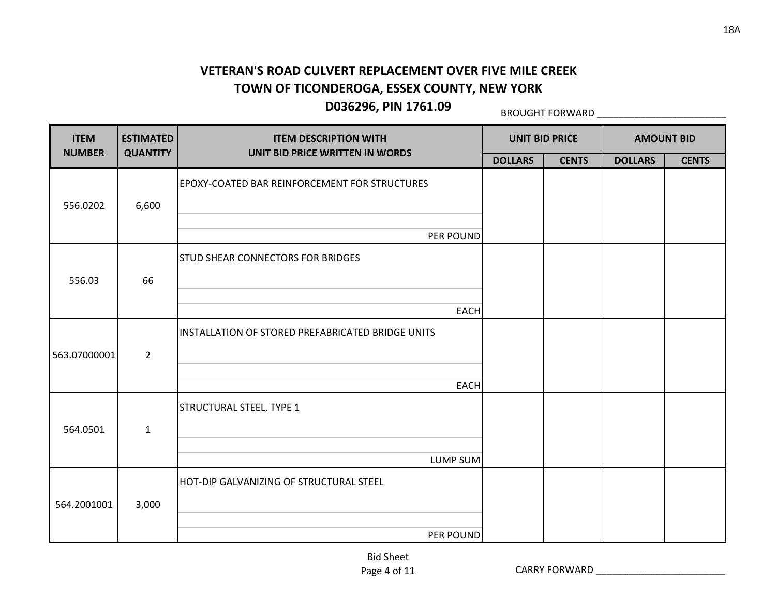**D036296, PIN 1761.09**

BROUGHT FORWARD \_\_\_\_\_\_\_\_\_\_\_\_\_\_\_\_\_\_\_\_\_\_\_\_

| <b>ITEM</b>            | <b>ESTIMATED</b> | <b>ITEM DESCRIPTION WITH</b>                      | <b>UNIT BID PRICE</b> |              | <b>AMOUNT BID</b> |              |
|------------------------|------------------|---------------------------------------------------|-----------------------|--------------|-------------------|--------------|
| <b>NUMBER</b>          | <b>QUANTITY</b>  | UNIT BID PRICE WRITTEN IN WORDS                   | <b>DOLLARS</b>        | <b>CENTS</b> | <b>DOLLARS</b>    | <b>CENTS</b> |
| 556.0202               | 6,600            | EPOXY-COATED BAR REINFORCEMENT FOR STRUCTURES     |                       |              |                   |              |
| 556.03<br>563.07000001 |                  | PER POUND                                         |                       |              |                   |              |
|                        |                  | <b>STUD SHEAR CONNECTORS FOR BRIDGES</b>          |                       |              |                   |              |
|                        | 66               |                                                   |                       |              |                   |              |
|                        |                  | <b>EACH</b>                                       |                       |              |                   |              |
|                        | $\overline{2}$   | INSTALLATION OF STORED PREFABRICATED BRIDGE UNITS |                       |              |                   |              |
|                        |                  | <b>EACH</b>                                       |                       |              |                   |              |
|                        |                  | STRUCTURAL STEEL, TYPE 1                          |                       |              |                   |              |
| 564.0501               | $\mathbf{1}$     |                                                   |                       |              |                   |              |
|                        |                  | <b>LUMP SUM</b>                                   |                       |              |                   |              |
| 564.2001001            | 3,000            | HOT-DIP GALVANIZING OF STRUCTURAL STEEL           |                       |              |                   |              |
|                        |                  | PER POUND                                         |                       |              |                   |              |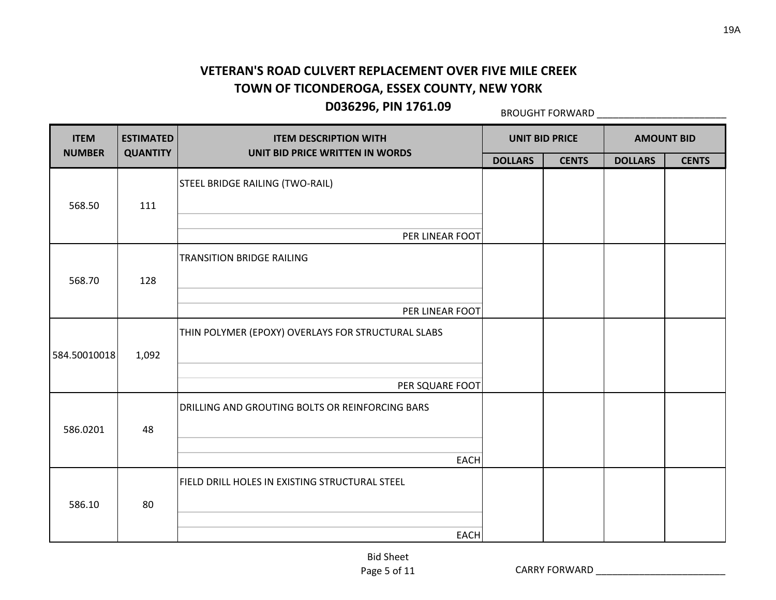**D036296, PIN 1761.09**

BROUGHT FORWARD \_\_\_\_\_\_\_\_\_\_\_\_\_\_\_\_\_\_\_\_\_\_\_\_

| <b>ITEM</b>   | <b>ESTIMATED</b> | <b>ITEM DESCRIPTION WITH</b>                                  |                | <b>UNIT BID PRICE</b> | <b>AMOUNT BID</b> |              |
|---------------|------------------|---------------------------------------------------------------|----------------|-----------------------|-------------------|--------------|
| <b>NUMBER</b> | <b>QUANTITY</b>  | UNIT BID PRICE WRITTEN IN WORDS                               | <b>DOLLARS</b> | <b>CENTS</b>          | <b>DOLLARS</b>    | <b>CENTS</b> |
| 568.50        | 111              | STEEL BRIDGE RAILING (TWO-RAIL)                               |                |                       |                   |              |
|               |                  | PER LINEAR FOOT                                               |                |                       |                   |              |
|               |                  | <b>TRANSITION BRIDGE RAILING</b>                              |                |                       |                   |              |
| 568.70        | 128              | PER LINEAR FOOT                                               |                |                       |                   |              |
|               |                  | THIN POLYMER (EPOXY) OVERLAYS FOR STRUCTURAL SLABS            |                |                       |                   |              |
| 584.50010018  | 1,092            | PER SQUARE FOOT                                               |                |                       |                   |              |
|               |                  | DRILLING AND GROUTING BOLTS OR REINFORCING BARS               |                |                       |                   |              |
| 586.0201      | 48               |                                                               |                |                       |                   |              |
|               |                  | <b>EACH</b><br>FIELD DRILL HOLES IN EXISTING STRUCTURAL STEEL |                |                       |                   |              |
| 586.10        | 80               |                                                               |                |                       |                   |              |
|               |                  | <b>EACH</b>                                                   |                |                       |                   |              |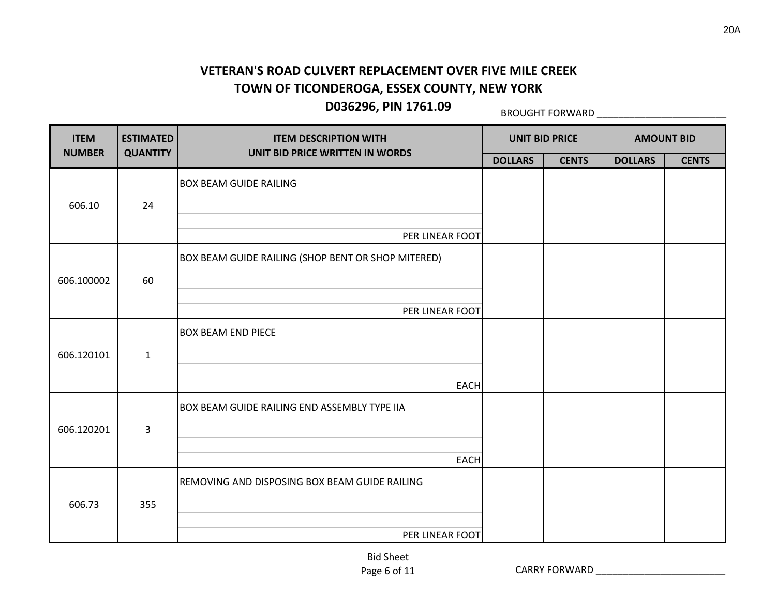**D036296, PIN 1761.09**

BROUGHT FORWARD \_\_\_\_\_\_\_\_\_\_\_\_\_\_\_\_\_\_\_\_\_\_\_\_

| <b>ITEM</b>   | <b>ESTIMATED</b> | <b>ITEM DESCRIPTION WITH</b>                        | <b>UNIT BID PRICE</b> |              |                | <b>AMOUNT BID</b> |
|---------------|------------------|-----------------------------------------------------|-----------------------|--------------|----------------|-------------------|
| <b>NUMBER</b> | <b>QUANTITY</b>  | UNIT BID PRICE WRITTEN IN WORDS                     | <b>DOLLARS</b>        | <b>CENTS</b> | <b>DOLLARS</b> | <b>CENTS</b>      |
| 606.10        | 24               | <b>BOX BEAM GUIDE RAILING</b>                       |                       |              |                |                   |
|               |                  | PER LINEAR FOOT                                     |                       |              |                |                   |
|               |                  | BOX BEAM GUIDE RAILING (SHOP BENT OR SHOP MITERED)  |                       |              |                |                   |
| 606.100002    | 60               |                                                     |                       |              |                |                   |
|               |                  | PER LINEAR FOOT                                     |                       |              |                |                   |
| 606.120101    | $\mathbf{1}$     | <b>BOX BEAM END PIECE</b>                           |                       |              |                |                   |
|               |                  | <b>EACH</b>                                         |                       |              |                |                   |
| 606.120201    | 3                | <b>BOX BEAM GUIDE RAILING END ASSEMBLY TYPE IIA</b> |                       |              |                |                   |
|               |                  | <b>EACH</b>                                         |                       |              |                |                   |
| 606.73        | 355              | REMOVING AND DISPOSING BOX BEAM GUIDE RAILING       |                       |              |                |                   |
|               |                  | PER LINEAR FOOT                                     |                       |              |                |                   |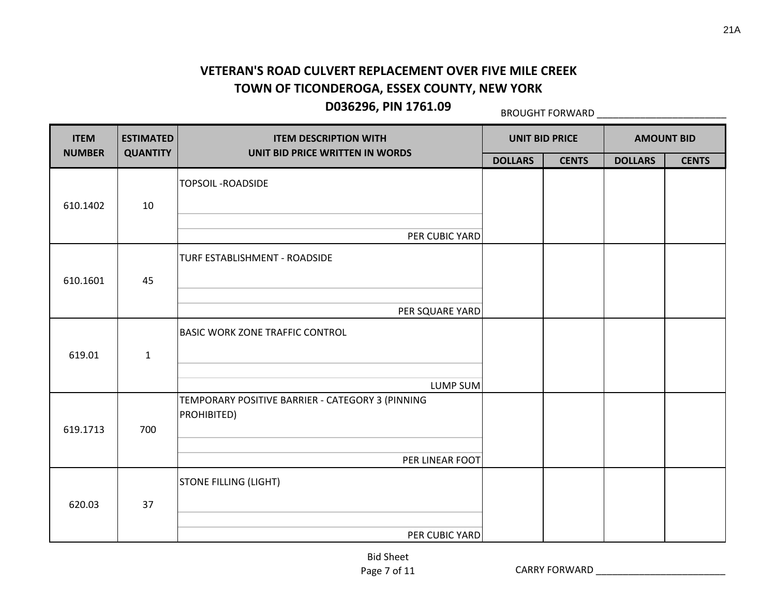**D036296, PIN 1761.09**

BROUGHT FORWARD \_\_\_\_\_\_\_\_\_\_\_\_\_\_\_\_\_\_\_\_\_\_\_\_

| <b>ITEM</b>   | <b>ESTIMATED</b> | <b>ITEM DESCRIPTION WITH</b>                                    | <b>UNIT BID PRICE</b> |              |                | <b>AMOUNT BID</b> |
|---------------|------------------|-----------------------------------------------------------------|-----------------------|--------------|----------------|-------------------|
| <b>NUMBER</b> | <b>QUANTITY</b>  | UNIT BID PRICE WRITTEN IN WORDS                                 | <b>DOLLARS</b>        | <b>CENTS</b> | <b>DOLLARS</b> | <b>CENTS</b>      |
| 610.1402      | 10               | <b>TOPSOIL-ROADSIDE</b>                                         |                       |              |                |                   |
|               |                  | PER CUBIC YARD                                                  |                       |              |                |                   |
|               |                  | TURF ESTABLISHMENT - ROADSIDE                                   |                       |              |                |                   |
| 610.1601      | 45               |                                                                 |                       |              |                |                   |
|               |                  | PER SQUARE YARD                                                 |                       |              |                |                   |
| 619.01        | $\mathbf{1}$     | <b>BASIC WORK ZONE TRAFFIC CONTROL</b>                          |                       |              |                |                   |
|               |                  | LUMP SUM                                                        |                       |              |                |                   |
| 619.1713      | 700              | TEMPORARY POSITIVE BARRIER - CATEGORY 3 (PINNING<br>PROHIBITED) |                       |              |                |                   |
|               |                  | PER LINEAR FOOT                                                 |                       |              |                |                   |
| 620.03        | 37               | <b>STONE FILLING (LIGHT)</b>                                    |                       |              |                |                   |
|               |                  | PER CUBIC YARD                                                  |                       |              |                |                   |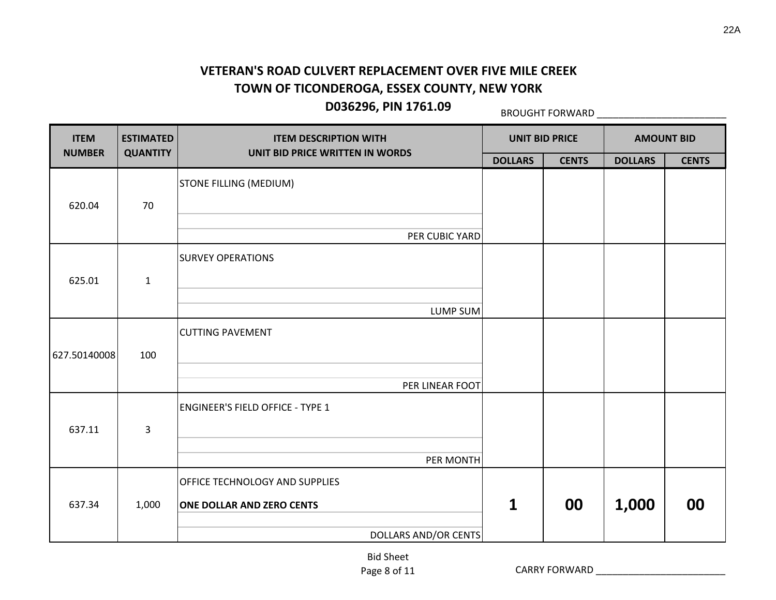**D036296, PIN 1761.09**

BROUGHT FORWARD \_\_\_\_\_\_\_\_\_\_\_\_\_\_\_\_\_\_\_\_\_\_\_\_

| <b>ITEM</b>                                                           | <b>ESTIMATED</b> | <b>ITEM DESCRIPTION WITH</b>            |                | <b>UNIT BID PRICE</b> |                | <b>AMOUNT BID</b> |
|-----------------------------------------------------------------------|------------------|-----------------------------------------|----------------|-----------------------|----------------|-------------------|
|                                                                       | <b>QUANTITY</b>  | UNIT BID PRICE WRITTEN IN WORDS         | <b>DOLLARS</b> | <b>CENTS</b>          | <b>DOLLARS</b> | <b>CENTS</b>      |
|                                                                       |                  | <b>STONE FILLING (MEDIUM)</b>           |                |                       |                |                   |
|                                                                       | 70               |                                         |                |                       |                |                   |
| <b>NUMBER</b><br>620.04<br>625.01<br>627.50140008<br>637.11<br>637.34 |                  | PER CUBIC YARD                          |                |                       |                |                   |
|                                                                       |                  | <b>SURVEY OPERATIONS</b>                |                |                       |                |                   |
|                                                                       | $\mathbf{1}$     |                                         |                |                       |                |                   |
|                                                                       |                  | LUMP SUM                                |                |                       |                |                   |
|                                                                       |                  | <b>CUTTING PAVEMENT</b>                 |                |                       |                |                   |
|                                                                       | 100              |                                         |                |                       |                |                   |
|                                                                       |                  | PER LINEAR FOOT                         |                |                       | 1,000          |                   |
|                                                                       |                  | <b>ENGINEER'S FIELD OFFICE - TYPE 1</b> |                |                       |                |                   |
|                                                                       | 3                |                                         |                |                       |                |                   |
|                                                                       |                  | PER MONTH                               |                |                       |                |                   |
|                                                                       |                  | OFFICE TECHNOLOGY AND SUPPLIES          |                |                       |                |                   |
|                                                                       | 1,000            | <b>ONE DOLLAR AND ZERO CENTS</b>        | $\mathbf{1}$   | 00                    |                | 00                |
|                                                                       |                  | <b>DOLLARS AND/OR CENTS</b>             |                |                       |                |                   |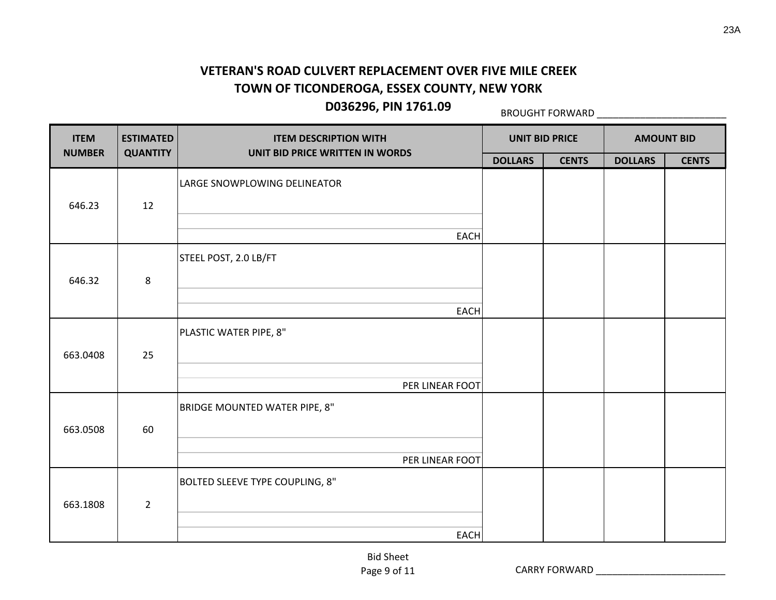BROUGHT FORWARD \_\_\_\_\_\_\_\_\_\_\_\_\_\_\_\_\_\_\_\_\_\_\_\_

| <b>ITEM</b>   | <b>ESTIMATED</b> | <b>ITEM DESCRIPTION WITH</b>           |                | <b>UNIT BID PRICE</b> |                | <b>AMOUNT BID</b> |
|---------------|------------------|----------------------------------------|----------------|-----------------------|----------------|-------------------|
| <b>NUMBER</b> | <b>QUANTITY</b>  | UNIT BID PRICE WRITTEN IN WORDS        | <b>DOLLARS</b> | <b>CENTS</b>          | <b>DOLLARS</b> | <b>CENTS</b>      |
|               |                  | LARGE SNOWPLOWING DELINEATOR           |                |                       |                |                   |
| 646.23        | 12               |                                        |                |                       |                |                   |
|               |                  |                                        |                |                       |                |                   |
|               |                  | <b>EACH</b>                            |                |                       |                |                   |
|               |                  | STEEL POST, 2.0 LB/FT                  |                |                       |                |                   |
| 646.32        | 8                |                                        |                |                       |                |                   |
|               |                  |                                        |                |                       |                |                   |
|               |                  | <b>EACH</b>                            |                |                       |                |                   |
|               |                  | PLASTIC WATER PIPE, 8"                 |                |                       |                |                   |
| 663.0408      | 25               |                                        |                |                       |                |                   |
|               |                  |                                        |                |                       |                |                   |
|               |                  | PER LINEAR FOOT                        |                |                       |                |                   |
|               |                  | BRIDGE MOUNTED WATER PIPE, 8"          |                |                       |                |                   |
| 663.0508      | 60               |                                        |                |                       |                |                   |
|               |                  |                                        |                |                       |                |                   |
|               |                  | PER LINEAR FOOT                        |                |                       |                |                   |
|               |                  | <b>BOLTED SLEEVE TYPE COUPLING, 8"</b> |                |                       |                |                   |
| 663.1808      | $\overline{2}$   |                                        |                |                       |                |                   |
|               |                  |                                        |                |                       |                |                   |
|               |                  | <b>EACH</b>                            |                |                       |                |                   |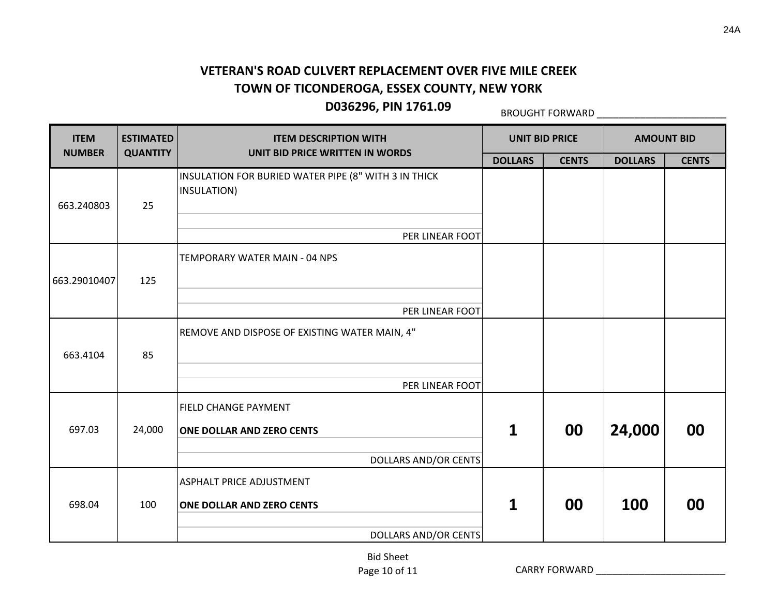**D036296, PIN 1761.09**

BROUGHT FORWARD \_\_\_\_\_\_\_\_\_\_\_\_\_\_\_\_\_\_\_\_\_\_\_\_

| <b>ITEM</b>   | <b>ESTIMATED</b> | <b>ITEM DESCRIPTION WITH</b>                                        |                | <b>UNIT BID PRICE</b> |                                    |              |
|---------------|------------------|---------------------------------------------------------------------|----------------|-----------------------|------------------------------------|--------------|
| <b>NUMBER</b> | <b>QUANTITY</b>  | UNIT BID PRICE WRITTEN IN WORDS                                     | <b>DOLLARS</b> | <b>CENTS</b>          | <b>DOLLARS</b>                     | <b>CENTS</b> |
| 663.240803    | 25               | INSULATION FOR BURIED WATER PIPE (8" WITH 3 IN THICK<br>INSULATION) |                |                       |                                    |              |
|               |                  | PER LINEAR FOOT                                                     |                |                       | <b>AMOUNT BID</b><br>24,000<br>100 |              |
| 663.29010407  | 125              | TEMPORARY WATER MAIN - 04 NPS                                       |                |                       |                                    |              |
|               |                  | PER LINEAR FOOT                                                     |                |                       |                                    |              |
| 663.4104      | 85               | REMOVE AND DISPOSE OF EXISTING WATER MAIN, 4"                       |                |                       |                                    |              |
|               |                  | PER LINEAR FOOT                                                     |                |                       |                                    |              |
| 697.03        | 24,000           | <b>FIELD CHANGE PAYMENT</b><br><b>ONE DOLLAR AND ZERO CENTS</b>     | 1              | 00                    |                                    | 00           |
|               |                  | <b>DOLLARS AND/OR CENTS</b>                                         |                |                       |                                    |              |
| 698.04        | 100              | <b>ASPHALT PRICE ADJUSTMENT</b><br><b>ONE DOLLAR AND ZERO CENTS</b> | 1              | 00                    |                                    | 00           |
|               |                  | <b>DOLLARS AND/OR CENTS</b>                                         |                |                       |                                    |              |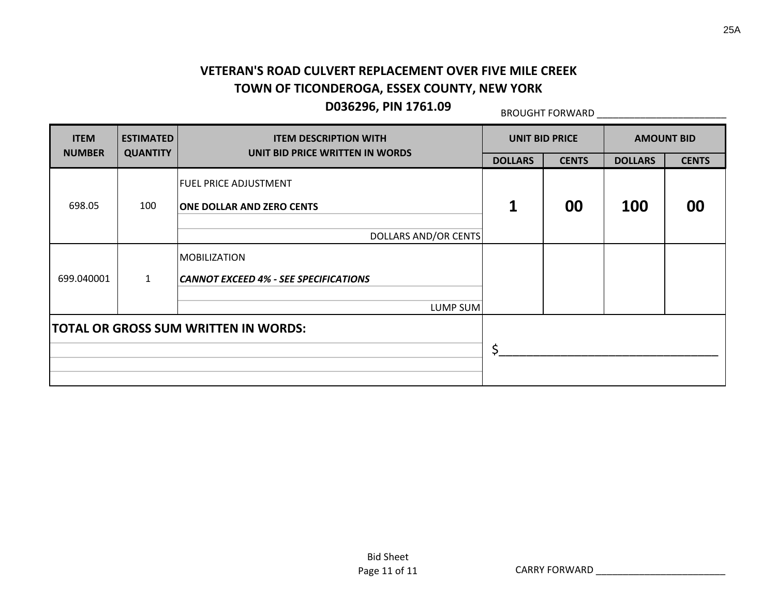## **D036296, PIN 1761.09**

BROUGHT FORWARD \_\_\_\_\_\_\_\_\_\_\_\_\_\_\_\_\_\_\_\_\_\_\_\_

| <b>ITEM</b>                                             | <b>ESTIMATED</b><br><b>QUANTITY</b> | <b>ITEM DESCRIPTION WITH</b>                                     | <b>UNIT BID PRICE</b> |              | <b>AMOUNT BID</b> |              |  |  |  |  |  |  |
|---------------------------------------------------------|-------------------------------------|------------------------------------------------------------------|-----------------------|--------------|-------------------|--------------|--|--|--|--|--|--|
| <b>NUMBER</b>                                           |                                     | UNIT BID PRICE WRITTEN IN WORDS                                  | <b>DOLLARS</b>        | <b>CENTS</b> | <b>DOLLARS</b>    | <b>CENTS</b> |  |  |  |  |  |  |
| 698.05                                                  | 100                                 | <b>FUEL PRICE ADJUSTMENT</b><br><b>ONE DOLLAR AND ZERO CENTS</b> | 1                     | 00           | <b>100</b>        | 00           |  |  |  |  |  |  |
|                                                         |                                     | DOLLARS AND/OR CENTS                                             |                       |              |                   |              |  |  |  |  |  |  |
| 699.040001                                              | $\mathbf{1}$                        | <b>MOBILIZATION</b><br>CANNOT EXCEED 4% - SEE SPECIFICATIONS     |                       |              |                   |              |  |  |  |  |  |  |
|                                                         |                                     |                                                                  |                       |              |                   |              |  |  |  |  |  |  |
| LUMP SUM<br><b>TOTAL OR GROSS SUM WRITTEN IN WORDS:</b> |                                     | Ś.                                                               |                       |              |                   |              |  |  |  |  |  |  |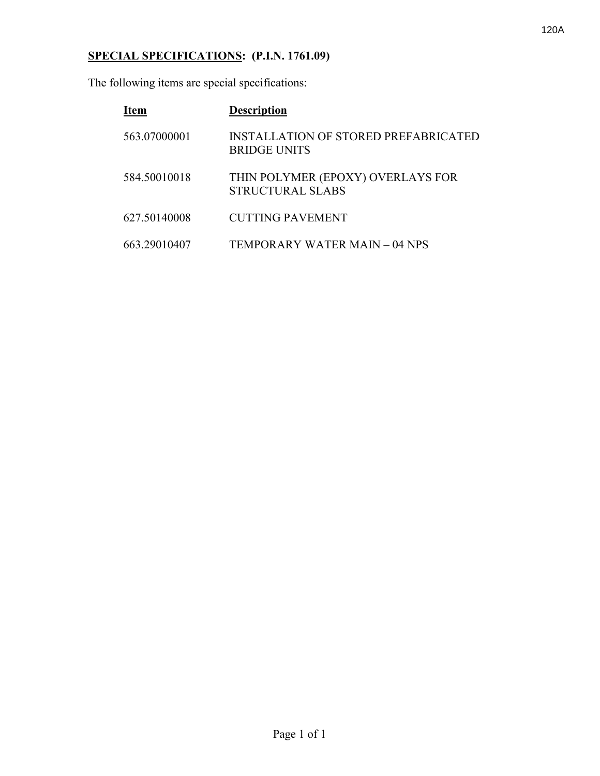# **SPECIAL SPECIFICATIONS: (P.I.N. 1761.09)**

The following items are special specifications:

| <b>Item</b>  | <b>Description</b>                                                 |
|--------------|--------------------------------------------------------------------|
| 563.07000001 | <b>INSTALLATION OF STORED PREFABRICATED</b><br><b>BRIDGE UNITS</b> |
| 584.50010018 | THIN POLYMER (EPOXY) OVERLAYS FOR<br>STRUCTURAL SLABS              |
| 627.50140008 | <b>CUTTING PAVEMENT</b>                                            |
| 663.29010407 | TEMPORARY WATER MAIN – 04 NPS                                      |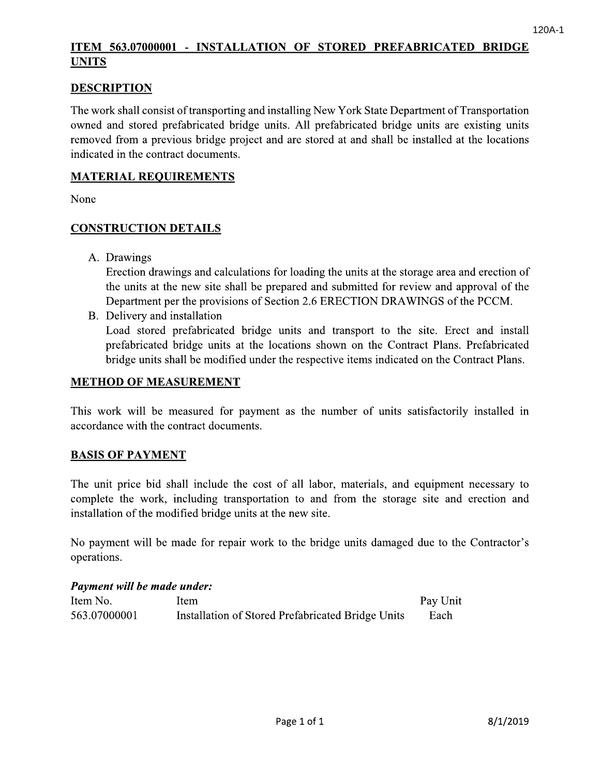120A-1<br>
ICMI 563.07000001 - INSTALLATION OF STORED PREFABRICATED BRIDGE<br>
DESCRIPTION<br>
The work shall consist of transporting and installing New York State Department of Transportation<br>
owned and stored prefabricated bridge

indicated in the contract documents.<br>
MATERIAL REOLIREMENTS<br>
None<br>
CONSTRUCTION DETAILS<br>
A. Drawings<br>
Fection drawings and calculations for loading the units at the storage area and erection of<br>
the units at the new site s (2) B. Department per the provisions of Section 2.6 ERECTION DRAWINGS of the PCCM.<br>
B. Delivery and installation<br>
Load stored prefabricated bridge units and transport to the site. Erect and install<br>
prefabricated bridge un

**METHOD OF MEASUREMENT**<br>
This work will be measured for payment as the number of units satisfactorily installed in<br>
accordance with the contract documents.<br> **BASIS OF PAYMENT**<br>
The unit price bid shall include the cost of **EASIS OF PAYMENT**<br>
The unit price bid shall include the cost of all labor, materials, and equipment necessary to<br>
complete the work, including transportation to and from the storage site and erection and<br>
installation of From the storage site and erection and installation of the modified bridge units at the new site.<br>
No payment will be made for repair work to the bridge units damaged due to the Contractor's<br>
operations.<br> **Payment will be** 

| Item No.     | Item                                              | Pay Unit |
|--------------|---------------------------------------------------|----------|
| 563.07000001 | Installation of Stored Prefabricated Bridge Units | Each     |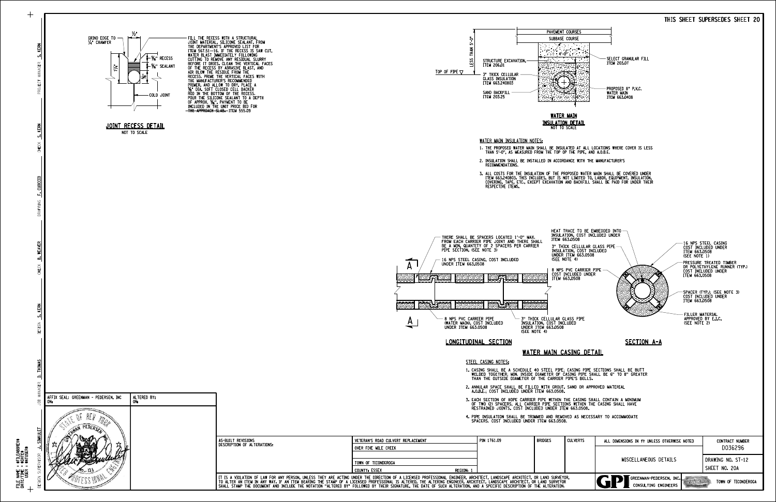



FILE NAME = File Name =<br>Date/Time =<br>USER = DATE/TIME =

\$FILEABBREV\$ \$FILEAB<br>\$DATE\$<br>\$NTUSEF \$NTUSER\$

| <b>ULVERTS:</b> | ALL DIMENSIONS IN ft UNLESS OTHERWISE NOTED                            | <b>CONTRACT NUMBER</b> |  |  |
|-----------------|------------------------------------------------------------------------|------------------------|--|--|
|                 |                                                                        | D036296                |  |  |
|                 | MISCELLANEOUS DETAILS                                                  | DRAWING NO. ST-12      |  |  |
|                 |                                                                        | SHEET NO. 20A          |  |  |
|                 | GREENMAN-PEDERSEN, INC.<br>TOWN OF TICONDEROGA<br>CONSULTING ENGINEERS |                        |  |  |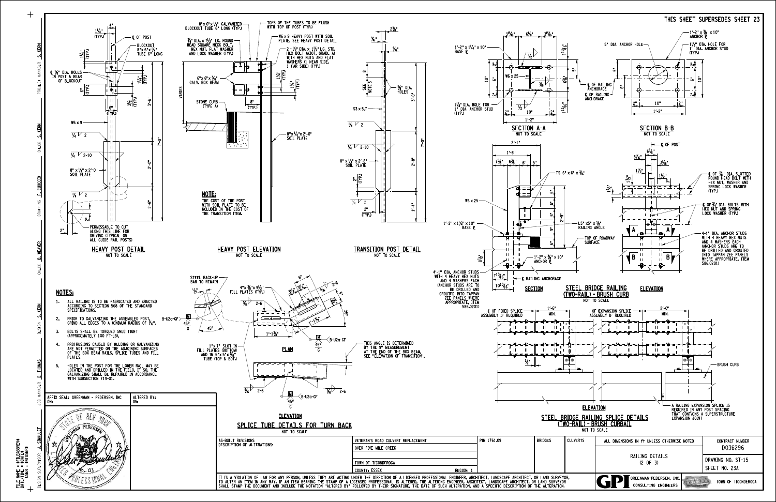TOPS OF THE TUBES TO BE FLUSH<br>WITH TOP OF POST (TYP.) · 8"x 6"x 1/4" GALVANIZED<br>BLOCKOUT TUBE 6" LONG (TYP.) 4"  $2\frac{1}{8}$  $1\frac{1}{4}$  $3^{15}\%$ " 6<sup>1</sup>/<sub>8</sub>"  $3^{15}\%$ " (TYP.) OF POST W6×9 HEAVY POST WITH SOIL<br>PLATE, SEE HEAVY POST DETAIL Œ" ¥4" DIA x 7½" LG. ROUND<br>HEAD SQUARE NECK BOLT,<br>HEX NUT, FLAT WASHER **BLOCKOUT** J.SIMKULET D. MANKROCH <mark>D. THOMAS D. THOMAS D. Renn S. Kenn D. The Teatren D. Thomas D. Thomas D. Thomas D. Thomas D. Thomas D. Thomas D. Thomas D. Thomas D. Thomas D. Thomas D. Thomas D. Thomas D. Thomas D. Thomas D. Thom</mark> 1′-2" x 1'/4" x 10"<br>BASE ቢ Œ"  $\frac{1}{2}$ 8"x 6"x ½"<br>TUBE 6" LONG 2-½"DIA.x 1½"LG. STD.<br>HEX BOLT (A307, GRADE A)<br>WITH HEX NUTS AND FLAT  $\overrightarrow{v_2}$ AND LOCK WASHER (TYP.) WASHERS (1 NEAR SIDE, PROJECT MANAGER 2" ⊨ ≛ ⊨  $\mathbb{L}$ 1 FAR SIDE) (TYP.) € <del>V77777</del> 8" L ½" DIA. HOLES<br>IN POST & REAR<br>OF BLOCKOUT  $\frac{1}{2}$ <u>z</u>î W6 X 25 "6"x 6"x ¾"<br>GALV. BOX BEAM اح 6" **NOTECT**  $\frac{2}{\pi}$ <u>5</u> a<br>See<br>S  $\frac{5}{6}$  $\frac{1}{2}$ €=)<br>€ %" DIA.<br>HOLES <sub>-</sub> VARIES 6"  $\frac{1}{2}$ 2"  $\frac{1}{2}$ 1'-6" 2'-0" 3'-6" H. STONE CURB 8"  $\frac{2}{2}$   $\frac{1}{2}$   $\frac{10^{10}}{2}$   $\frac{12}{2}$ 1½<sub>8</sub>" DIA. HOLE FOR -<br>1" DIA. ANCHOR STUD<br>(TYP.) 6" (TYPE A)  $\begin{array}{|c|c|c|c|c|}\n\hline\n\text{(TYP.)} & & & \text{S3 x 5.7}\n\hline\n\end{array}$ (TYP.) 1'-2"  $W6 \times 9$  $\sqrt{4}$  2 **SECTION A-A**<br>NOT TO SCALE  $\sqrt{4}$  2 8"x ½"x 2′-0"<br>SOIL PLATE  $\overline{C}$  $\overline{C}$ 2'-1" DESIGN <mark>D. REAN CHECK D. MEAVER</mark> DAT INS <mark>F. Coucciu</mark> Check Check **Times**  $\frac{1}{4}$   $\sqrt{2-10}$ 1'-8"  $\frac{1}{4}V_{2-10}$  $\overline{\phantom{a}}$  $75/8"$   $6\frac{3}{8}"$   $6"$   $5"$ 8" x 1/4" x 2′-8"<br>SOIL PLATE 8" x ½" x 2′-0"<br>SOIL PLATE  $\frac{1}{2}$ F.CUOCCIO F. CUOCCI  $\overline{\phantom{m}}$  $6" - 9" - 6" - 6" - 6"$  $\sqrt{4}$  2 NOTE:  $W6 \times 25$ THE COST OF THE POST WITH SOIL PLATE TO BE NCLUDED IN THE COST OF  $\frac{1}{4}V_{2}$  $\overline{1}$ 2" **JRAF** THE TRANSITION ITEM. (TYP.) 2" ≂ "1′-2" x 1'/4" x 10<br><u>"</u>BASE P PERMISSABLE TO CUT<br>ALONG THIS LINE FOR<br>DRIVING (TYPICAL ON<br>ALL GUIDE RAIL POSTS)  $\frac{2^{n}}{n}$ B. WEAVER **B. WEAVER** HEAVY POST ELEVATION TRANSITION POST NOT TO SCALE HEAVY POST DETAIL TRANSITION POST DETAIL  $\pm 1$ NOT TO SCALE  $\ddot{z}$ 1'-2" x ½|" x 10"<br>ANCHOR (P ·<del>8</del>⊨! +8⊬ 4′-1" DIA. ANCHOR STUDS<br>WITH 4 HEAVY HEX NUTS  $7^{13}$ <sup>13</sup>/<sub>6</sub>" 6"  $\mathbf{\mathfrak{C}}$  RAILING ANCHORAGE STEEL BACK-UP<br>BAR TO REMAIN AND 4 WASHERS EACH<br>ANCHOR STUDS ARE TO)<br>BE DRILLED AND<br>GROUTED INTO TAPPAN  $\begin{matrix} 1 & 2.6 \ 1 & 2.6 \end{matrix}$  $10^{13}$ /<sub>6</sub>" <sup>3</sup>•" — "x ½"x 9½"<br>FILL PLATES (TYP.) NOTES: <sup>3</sup>•" ۹v la". 5" ZEE PANELS WHERE<br>APPROPRIATE, ITEM<br>586.0201) 2ƒ 1. ALL RAILING IS TO BE FABRICATED AND ERECTED<br>ACCORDING TO SECTION 568 OF THE STANDARD  $\frac{5}{6}$  2-6  $\overline{\mathbb{Z}}$ " 1'-6" SPECIFICATIONS. c OF FIXED SPLICE ASSEMBLY IF REQUIRED 26° MIN. 2. PRIOR TO GALVANIZING THE ASSEMBLED POST,<br>GRIND ALL EDGES TO A MINIMUM RADIUS OF ½<sub>6</sub>". M  $\qquad \qquad \qquad \qquad \qquad$ B-U2a-GF ة ا*ق*د ،  $rac{45^{\circ}}{6}$ DESIGN 45°  $\Box$  $\Box$  $\Box$ 3. BOLTS SHALL BE TORQUED SNUG TIGHT<br>(APPROXIMATELY 100 FT-LB).  $1'-1\frac{1}{1}$ M B-U2a-GF 4. PROTRUSIONS CAUSED BY WELDING OR GALVANIZING<br>ARE NOT PERMITTED ON THE ADJOINING SURFACES<br>OF THE BOX BEAM RAILS, SPLICE TUBES AND FILL  $\frac{45^{\circ}}{6}$ THIS ANGLE IS DETERMINED<br>BY THE 9" MEASUREMENT<br>AT THE END OF THE BOX BEAM.<br>SEE "ELEVATION OF TRANSITION". 'x 7" SLOT IN<br>FILL PLATES (BOTTOM)<br>"AND IN 5"x 5"x %"<br>TUBE (TOP & BOT.) Tingi ya PLAN - ii - $\mathbb{H}$  $\mathbf{H}$ ≕ PLATES.  $\frac{1}{2}$ 5. HOLES IN THE POST FOR THE LOWER RAIL MAY BE<br>LOCATED AND DRILLED IN THE FIELD. IF SO, THE<br>GALVANIZING SHALL BE REPAIRED IN ACCORDANCE<br>WITH SUBSECTION 719-01. JOB MANAGER  $\frac{1}{\frac{5}{6}}$  2-6  $\frac{1}{\frac{5}{6}}$   $\frac{5}{2-6}$ M  $<$ B-U2a-GF ALTERED BY:<br>ON: AFFIX SEAL: GREENMAN - PEDERSEN, INC | ALTERED BY:  $45<sup>o</sup>$ ON: G E VI MAN ELEVATION e di posta di contro di contro di contro di contro di contro di contro di contro di contro di contro di contro<br>Contro di contro di contro di contro di contro di contro di contro di contro di contro di contro di contro di<br>C HAN PEDERSET SPLICE TUBE DETAILS FOR TURN BACK NOT TO SCALE AS-BUILT REVISIONS<br>DESCRIPTION OF ALTERATIONS: VETERAN'S ROAD CULVERT REPLACEMENT AS-BUILT REVISIONS BRIDGES CULVERTS 1761.09 PIN OVER FIVE MILE CREEK DESIGN SUPERVISOR TOWN OF TICONDEROGA (2 OF 3) (2 OF 3) REGION: COUNTY: ESSEX **RUFESS IONAL** 

 $+$ 



FILE NAME = File Name =<br>Date/Time =<br>USER = DATE/TIME = \$FILEABBREV\$ \$FILEAB<br>\$DATE\$<br>\$NTUSEF \$NTUSER\$